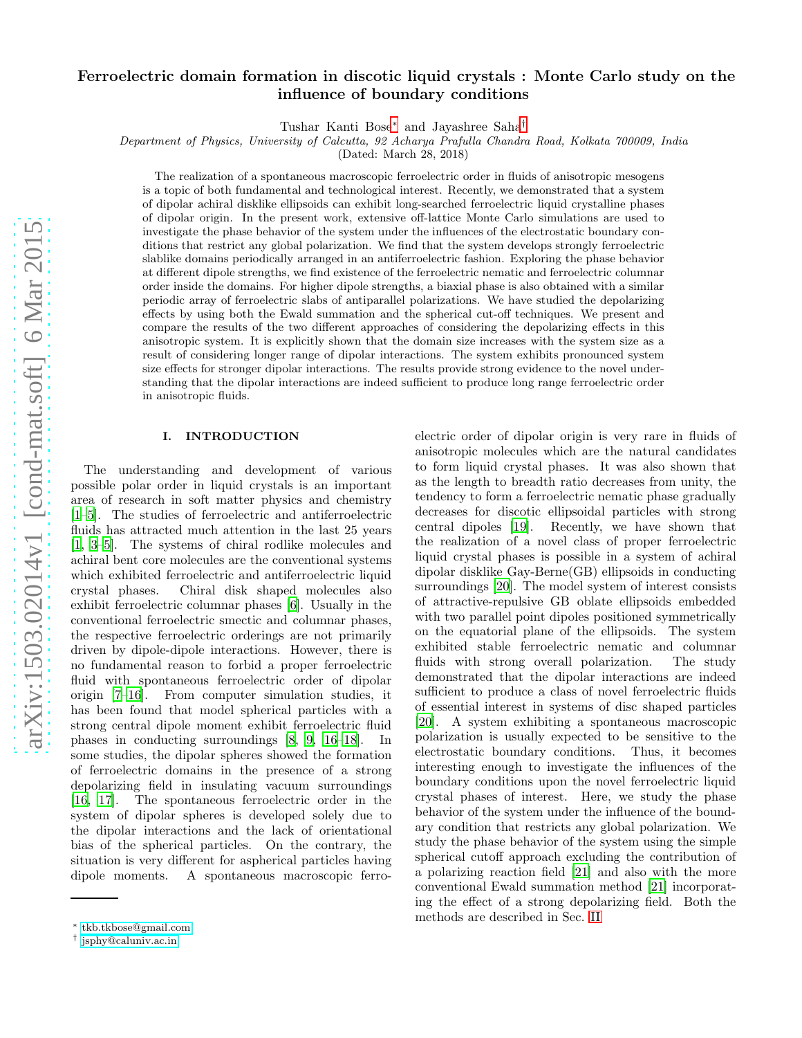# Ferroelectric domain formation in discotic liquid crystals : Monte Carlo study on the influence of boundary conditions

Tushar Kanti Bose[∗](#page-0-0) and Jayashree Saha[†](#page-0-1)

Department of Physics, University of Calcutta, 92 Acharya Prafulla Chandra Road, Kolkata 700009, India

(Dated: March 28, 2018)

The realization of a spontaneous macroscopic ferroelectric order in fluids of anisotropic mesogens is a topic of both fundamental and technological interest. Recently, we demonstrated that a system of dipolar achiral disklike ellipsoids can exhibit long-searched ferroelectric liquid crystalline phases of dipolar origin. In the present work, extensive off-lattice Monte Carlo simulations are used to investigate the phase behavior of the system under the influences of the electrostatic boundary conditions that restrict any global polarization. We find that the system develops strongly ferroelectric slablike domains periodically arranged in an antiferroelectric fashion. Exploring the phase behavior at different dipole strengths, we find existence of the ferroelectric nematic and ferroelectric columnar order inside the domains. For higher dipole strengths, a biaxial phase is also obtained with a similar periodic array of ferroelectric slabs of antiparallel polarizations. We have studied the depolarizing effects by using both the Ewald summation and the spherical cut-off techniques. We present and compare the results of the two different approaches of considering the depolarizing effects in this anisotropic system. It is explicitly shown that the domain size increases with the system size as a result of considering longer range of dipolar interactions. The system exhibits pronounced system size effects for stronger dipolar interactions. The results provide strong evidence to the novel understanding that the dipolar interactions are indeed sufficient to produce long range ferroelectric order in anisotropic fluids.

# I. INTRODUCTION

The understanding and development of various possible polar order in liquid crystals is an important area of research in soft matter physics and chemistry [\[1](#page-11-0)[–5\]](#page-12-0). The studies of ferroelectric and antiferroelectric fluids has attracted much attention in the last 25 years [\[1,](#page-11-0) [3](#page-12-1)[–5](#page-12-0)]. The systems of chiral rodlike molecules and achiral bent core molecules are the conventional systems which exhibited ferroelectric and antiferroelectric liquid crystal phases. Chiral disk shaped molecules also exhibit ferroelectric columnar phases [\[6\]](#page-12-2). Usually in the conventional ferroelectric smectic and columnar phases, the respective ferroelectric orderings are not primarily driven by dipole-dipole interactions. However, there is no fundamental reason to forbid a proper ferroelectric fluid with spontaneous ferroelectric order of dipolar origin [\[7](#page-12-3)[–16\]](#page-12-4). From computer simulation studies, it has been found that model spherical particles with a strong central dipole moment exhibit ferroelectric fluid phases in conducting surroundings [\[8](#page-12-5), [9,](#page-12-6) [16](#page-12-4)[–18\]](#page-12-7). In some studies, the dipolar spheres showed the formation of ferroelectric domains in the presence of a strong depolarizing field in insulating vacuum surroundings [\[16,](#page-12-4) [17](#page-12-8)]. The spontaneous ferroelectric order in the system of dipolar spheres is developed solely due to the dipolar interactions and the lack of orientational bias of the spherical particles. On the contrary, the situation is very different for aspherical particles having dipole moments. A spontaneous macroscopic ferroelectric order of dipolar origin is very rare in fluids of anisotropic molecules which are the natural candidates to form liquid crystal phases. It was also shown that as the length to breadth ratio decreases from unity, the tendency to form a ferroelectric nematic phase gradually decreases for discotic ellipsoidal particles with strong central dipoles [\[19\]](#page-12-9). Recently, we have shown that the realization of a novel class of proper ferroelectric liquid crystal phases is possible in a system of achiral dipolar disklike Gay-Berne(GB) ellipsoids in conducting surroundings [\[20](#page-12-10)]. The model system of interest consists of attractive-repulsive GB oblate ellipsoids embedded with two parallel point dipoles positioned symmetrically on the equatorial plane of the ellipsoids. The system exhibited stable ferroelectric nematic and columnar fluids with strong overall polarization. The study demonstrated that the dipolar interactions are indeed sufficient to produce a class of novel ferroelectric fluids of essential interest in systems of disc shaped particles [\[20\]](#page-12-10). A system exhibiting a spontaneous macroscopic polarization is usually expected to be sensitive to the electrostatic boundary conditions. Thus, it becomes interesting enough to investigate the influences of the boundary conditions upon the novel ferroelectric liquid crystal phases of interest. Here, we study the phase behavior of the system under the influence of the boundary condition that restricts any global polarization. We study the phase behavior of the system using the simple spherical cutoff approach excluding the contribution of a polarizing reaction field [\[21](#page-12-11)] and also with the more conventional Ewald summation method [\[21](#page-12-11)] incorporating the effect of a strong depolarizing field. Both the methods are described in Sec. [II](#page-1-0)

<span id="page-0-0"></span><sup>∗</sup> [tkb.tkbose@gmail.com](mailto:tkb.tkbose@gmail.com)

<span id="page-0-1"></span><sup>†</sup> [jsphy@caluniv.ac.in](mailto:jsphy@caluniv.ac.in)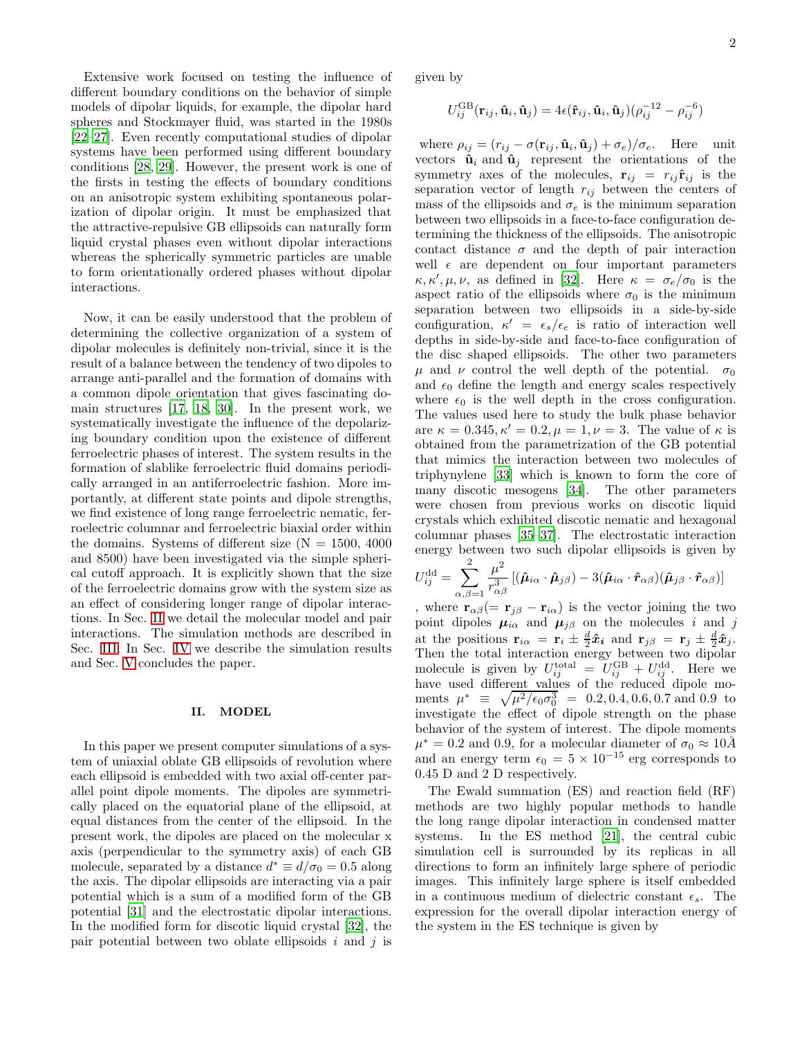Extensive work focused on testing the influence of different boundary conditions on the behavior of simple models of dipolar liquids, for example, the dipolar hard spheres and Stockmayer fluid, was started in the 1980s [\[22](#page-12-12)[–27\]](#page-12-13). Even recently computational studies of dipolar systems have been performed using different boundary conditions [\[28,](#page-12-14) [29](#page-12-15)]. However, the present work is one of the firsts in testing the effects of boundary conditions on an anisotropic system exhibiting spontaneous polarization of dipolar origin. It must be emphasized that the attractive-repulsive GB ellipsoids can naturally form liquid crystal phases even without dipolar interactions whereas the spherically symmetric particles are unable to form orientationally ordered phases without dipolar interactions.

Now, it can be easily understood that the problem of determining the collective organization of a system of dipolar molecules is definitely non-trivial, since it is the result of a balance between the tendency of two dipoles to arrange anti-parallel and the formation of domains with a common dipole orientation that gives fascinating domain structures [\[17](#page-12-8), [18,](#page-12-7) [30](#page-12-16)]. In the present work, we systematically investigate the influence of the depolarizing boundary condition upon the existence of different ferroelectric phases of interest. The system results in the formation of slablike ferroelectric fluid domains periodically arranged in an antiferroelectric fashion. More importantly, at different state points and dipole strengths, we find existence of long range ferroelectric nematic, ferroelectric columnar and ferroelectric biaxial order within the domains. Systems of different size  $(N = 1500, 4000)$ and 8500) have been investigated via the simple spherical cutoff approach. It is explicitly shown that the size of the ferroelectric domains grow with the system size as an effect of considering longer range of dipolar interactions. In Sec. [II](#page-1-0) we detail the molecular model and pair interactions. The simulation methods are described in Sec. [III.](#page-2-0) In Sec. [IV](#page-3-0) we describe the simulation results and Sec. [V](#page-10-0) concludes the paper.

## <span id="page-1-0"></span>II. MODEL

In this paper we present computer simulations of a system of uniaxial oblate GB ellipsoids of revolution where each ellipsoid is embedded with two axial off-center parallel point dipole moments. The dipoles are symmetrically placed on the equatorial plane of the ellipsoid, at equal distances from the center of the ellipsoid. In the present work, the dipoles are placed on the molecular x axis (perpendicular to the symmetry axis) of each GB molecule, separated by a distance  $d^* \equiv d/\sigma_0 = 0.5$  along the axis. The dipolar ellipsoids are interacting via a pair potential which is a sum of a modified form of the GB potential [\[31\]](#page-12-17) and the electrostatic dipolar interactions. In the modified form for discotic liquid crystal [\[32\]](#page-12-18), the pair potential between two oblate ellipsoids i and j is

given by

$$
U_{ij}^{\text{GB}}(\mathbf{r}_{ij}, \hat{\mathbf{u}}_i, \hat{\mathbf{u}}_j) = 4\epsilon(\hat{\mathbf{r}}_{ij}, \hat{\mathbf{u}}_i, \hat{\mathbf{u}}_j)(\rho_{ij}^{-12} - \rho_{ij}^{-6})
$$

where  $\rho_{ij} = (r_{ij} - \sigma(\mathbf{r}_{ij}, \hat{\mathbf{u}}_i, \hat{\mathbf{u}}_j) + \sigma_e)/\sigma_e$ . Here unit vectors  $\hat{\mathbf{u}}_i$  and  $\hat{\mathbf{u}}_j$  represent the orientations of the symmetry axes of the molecules,  $\mathbf{r}_{ij} = r_{ij} \hat{\mathbf{r}}_{ij}$  is the separation vector of length  $r_{ij}$  between the centers of mass of the ellipsoids and  $\sigma_e$  is the minimum separation between two ellipsoids in a face-to-face configuration determining the thickness of the ellipsoids. The anisotropic contact distance  $\sigma$  and the depth of pair interaction well  $\epsilon$  are dependent on four important parameters  $\kappa, \kappa', \mu, \nu$ , as defined in [\[32\]](#page-12-18). Here  $\kappa = \sigma_e/\sigma_0$  is the aspect ratio of the ellipsoids where  $\sigma_0$  is the minimum separation between two ellipsoids in a side-by-side configuration,  $\kappa' = \epsilon_s/\epsilon_e$  is ratio of interaction well depths in side-by-side and face-to-face configuration of the disc shaped ellipsoids. The other two parameters μ and ν control the well depth of the potential.  $σ_0$ and  $\epsilon_0$  define the length and energy scales respectively where  $\epsilon_0$  is the well depth in the cross configuration. The values used here to study the bulk phase behavior are  $\kappa = 0.345, \kappa' = 0.2, \mu = 1, \nu = 3$ . The value of  $\kappa$  is obtained from the parametrization of the GB potential that mimics the interaction between two molecules of triphynylene [\[33](#page-12-19)] which is known to form the core of many discotic mesogens [\[34\]](#page-12-20). The other parameters were chosen from previous works on discotic liquid crystals which exhibited discotic nematic and hexagonal columnar phases [\[35](#page-12-21)[–37\]](#page-12-22). The electrostatic interaction energy between two such dipolar ellipsoids is given by  $\overline{2}$ 

$$
U_{ij}^{\text{dd}} = \sum_{\alpha,\beta=1}^{2} \frac{\mu^2}{r_{\alpha\beta}^3} \left[ (\hat{\boldsymbol{\mu}}_{i\alpha} \cdot \hat{\boldsymbol{\mu}}_{j\beta}) - 3(\hat{\boldsymbol{\mu}}_{i\alpha} \cdot \hat{\boldsymbol{r}}_{\alpha\beta}) (\hat{\boldsymbol{\mu}}_{j\beta} \cdot \hat{\boldsymbol{r}}_{\alpha\beta}) \right]
$$

, where  $\mathbf{r}_{\alpha\beta} (= \mathbf{r}_{j\beta} - \mathbf{r}_{i\alpha})$  is the vector joining the two point dipoles  $\mu_{i\alpha}$  and  $\mu_{j\beta}$  on the molecules i and j at the positions  $\mathbf{r}_{i\alpha} = \mathbf{r}_i \pm \frac{d}{2}\hat{\mathbf{x}}_i$  and  $\mathbf{r}_{j\beta} = \mathbf{r}_j \pm \frac{d}{2}\hat{\mathbf{x}}_j$ . Then the total interaction energy between two dipolar molecule is given by  $U_{ij}^{\text{total}} = U_{ij}^{\text{GB}} + U_{ij}^{\text{dd}}$ . Here we have used different values of the reduced dipole moments  $\mu^* \equiv \sqrt{\mu^2/\epsilon_0 \sigma_0^3} = 0.2, 0.4, 0.6, 0.7$  and 0.9 to investigate the effect of dipole strength on the phase behavior of the system of interest. The dipole moments  $\mu^* = 0.2$  and 0.9, for a molecular diameter of  $\sigma_0 \approx 10\AA$ and an energy term  $\epsilon_0 = 5 \times 10^{-15}$  erg corresponds to 0.45 D and 2 D respectively.

The Ewald summation (ES) and reaction field (RF) methods are two highly popular methods to handle the long range dipolar interaction in condensed matter systems. In the ES method [\[21\]](#page-12-11), the central cubic simulation cell is surrounded by its replicas in all directions to form an infinitely large sphere of periodic images. This infinitely large sphere is itself embedded in a continuous medium of dielectric constant  $\epsilon_s$ . The expression for the overall dipolar interaction energy of the system in the ES technique is given by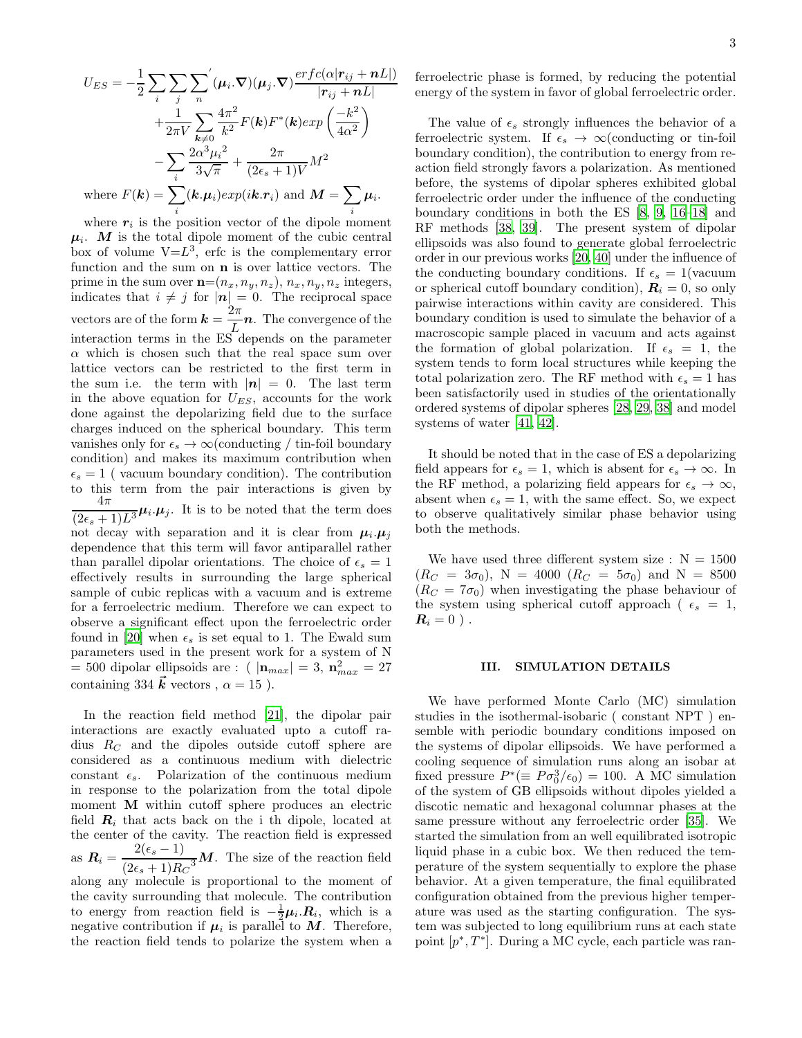$$
U_{ES} = -\frac{1}{2} \sum_{i} \sum_{j} \sum_{n} (\mu_i \cdot \nabla)(\mu_j \cdot \nabla) \frac{erfc(\alpha|r_{ij} + nL|)}{|r_{ij} + nL|}
$$
  
+ 
$$
\frac{1}{2\pi V} \sum_{k \neq 0} \frac{4\pi^2}{k^2} F(k) F^*(k) exp\left(\frac{-k^2}{4\alpha^2}\right)
$$
  
- 
$$
\sum_{i} \frac{2\alpha^3 \mu_i^2}{3\sqrt{\pi}} + \frac{2\pi}{(2\epsilon_s + 1)V} M^2
$$
  
where  $F(\mathbf{k}) = \sum_{i} (\mathbf{k}.\mu_i) exp(i\mathbf{k}.\mathbf{r}_i)$  and  $\mathbf{M} = \sum_{i} \mu_i$ .

where  $r_i$  is the position vector of the dipole moment  $\mu_i$ . M is the total dipole moment of the cubic central box of volume  $V = L^3$ , erfc is the complementary error function and the sum on n is over lattice vectors. The prime in the sum over  $\mathbf{n}=(n_x, n_y, n_z), n_x, n_y, n_z$  integers, indicates that  $i \neq j$  for  $|\boldsymbol{n}| = 0$ . The reciprocal space vectors are of the form  $\mathbf{k} = \frac{2\pi}{L}$  $\frac{2\pi}{L}$  n. The convergence of the interaction terms in the ES depends on the parameter  $\alpha$  which is chosen such that the real space sum over lattice vectors can be restricted to the first term in the sum i.e. the term with  $|n| = 0$ . The last term in the above equation for  $U_{ES}$ , accounts for the work done against the depolarizing field due to the surface charges induced on the spherical boundary. This term vanishes only for  $\epsilon_s \to \infty$  (conducting / tin-foil boundary condition) and makes its maximum contribution when  $\epsilon_s = 1$  ( vacuum boundary condition). The contribution to this term from the pair interactions is given by  $4\pi$  $\frac{1}{(2\epsilon_s+1)L^3}\mu_i.\mu_j$ . It is to be noted that the term does not decay with separation and it is clear from  $\mu_i \mu_j$ dependence that this term will favor antiparallel rather than parallel dipolar orientations. The choice of  $\epsilon_s = 1$ effectively results in surrounding the large spherical sample of cubic replicas with a vacuum and is extreme for a ferroelectric medium. Therefore we can expect to observe a significant effect upon the ferroelectric order found in [\[20\]](#page-12-10) when  $\epsilon_s$  is set equal to 1. The Ewald sum parameters used in the present work for a system of N = 500 dipolar ellipsoids are : (  $|\mathbf{n}_{max}| = 3$ ,  $\mathbf{n}_{max}^2 = 27$ containing 334  $\vec{k}$  vectors ,  $\alpha = 15$  ).

In the reaction field method [\[21](#page-12-11)], the dipolar pair interactions are exactly evaluated upto a cutoff radius  $R_C$  and the dipoles outside cutoff sphere are considered as a continuous medium with dielectric constant  $\epsilon_s$ . Polarization of the continuous medium in response to the polarization from the total dipole moment M within cutoff sphere produces an electric field  $R_i$  that acts back on the i th dipole, located at the center of the cavity. The reaction field is expressed as  $R_i = \frac{2(\epsilon_s - 1)}{(2 \epsilon_s + 1)R_i}$  $\frac{2(\epsilon_s - 1)}{(2\epsilon_s + 1)R_C^3}$ *M*. The size of the reaction field along any molecule is proportional to the moment of

the cavity surrounding that molecule. The contribution to energy from reaction field is  $-\frac{1}{2}\mu_i \cdot \mathbf{R}_i$ , which is a negative contribution if  $\mu_i$  is parallel to M. Therefore, the reaction field tends to polarize the system when a ferroelectric phase is formed, by reducing the potential energy of the system in favor of global ferroelectric order.

The value of  $\epsilon_s$  strongly influences the behavior of a ferroelectric system. If  $\epsilon_s \to \infty$  (conducting or tin-foil boundary condition), the contribution to energy from reaction field strongly favors a polarization. As mentioned before, the systems of dipolar spheres exhibited global ferroelectric order under the influence of the conducting boundary conditions in both the ES [\[8,](#page-12-5) [9](#page-12-6), [16](#page-12-4)[–18\]](#page-12-7) and RF methods [\[38,](#page-12-23) [39\]](#page-12-24). The present system of dipolar ellipsoids was also found to generate global ferroelectric order in our previous works [\[20](#page-12-10), [40](#page-12-25)] under the influence of the conducting boundary conditions. If  $\epsilon_s = 1$ (vacuum or spherical cutoff boundary condition),  $R_i = 0$ , so only pairwise interactions within cavity are considered. This boundary condition is used to simulate the behavior of a macroscopic sample placed in vacuum and acts against the formation of global polarization. If  $\epsilon_s = 1$ , the system tends to form local structures while keeping the total polarization zero. The RF method with  $\epsilon_s = 1$  has been satisfactorily used in studies of the orientationally ordered systems of dipolar spheres [\[28,](#page-12-14) [29,](#page-12-15) [38\]](#page-12-23) and model systems of water [\[41,](#page-12-26) [42\]](#page-12-27).

It should be noted that in the case of ES a depolarizing field appears for  $\epsilon_s = 1$ , which is absent for  $\epsilon_s \to \infty$ . In the RF method, a polarizing field appears for  $\epsilon_s \to \infty$ , absent when  $\epsilon_s = 1$ , with the same effect. So, we expect to observe qualitatively similar phase behavior using both the methods.

We have used three different system size :  $N = 1500$  $(R_C = 3\sigma_0)$ , N = 4000  $(R_C = 5\sigma_0)$  and N = 8500  $(R<sub>C</sub> = 7\sigma<sub>0</sub>)$  when investigating the phase behaviour of the system using spherical cutoff approach ( $\epsilon_s = 1$ ,  $\boldsymbol{R}_i = 0$ ).

#### <span id="page-2-0"></span>III. SIMULATION DETAILS

We have performed Monte Carlo (MC) simulation studies in the isothermal-isobaric ( constant NPT ) ensemble with periodic boundary conditions imposed on the systems of dipolar ellipsoids. We have performed a cooling sequence of simulation runs along an isobar at fixed pressure  $P^* (\equiv P \sigma_0^3/\epsilon_0) = 100$ . A MC simulation of the system of GB ellipsoids without dipoles yielded a discotic nematic and hexagonal columnar phases at the same pressure without any ferroelectric order [\[35\]](#page-12-21). We started the simulation from an well equilibrated isotropic liquid phase in a cubic box. We then reduced the temperature of the system sequentially to explore the phase behavior. At a given temperature, the final equilibrated configuration obtained from the previous higher temperature was used as the starting configuration. The system was subjected to long equilibrium runs at each state point  $[p^*, T^*]$ . During a MC cycle, each particle was ran-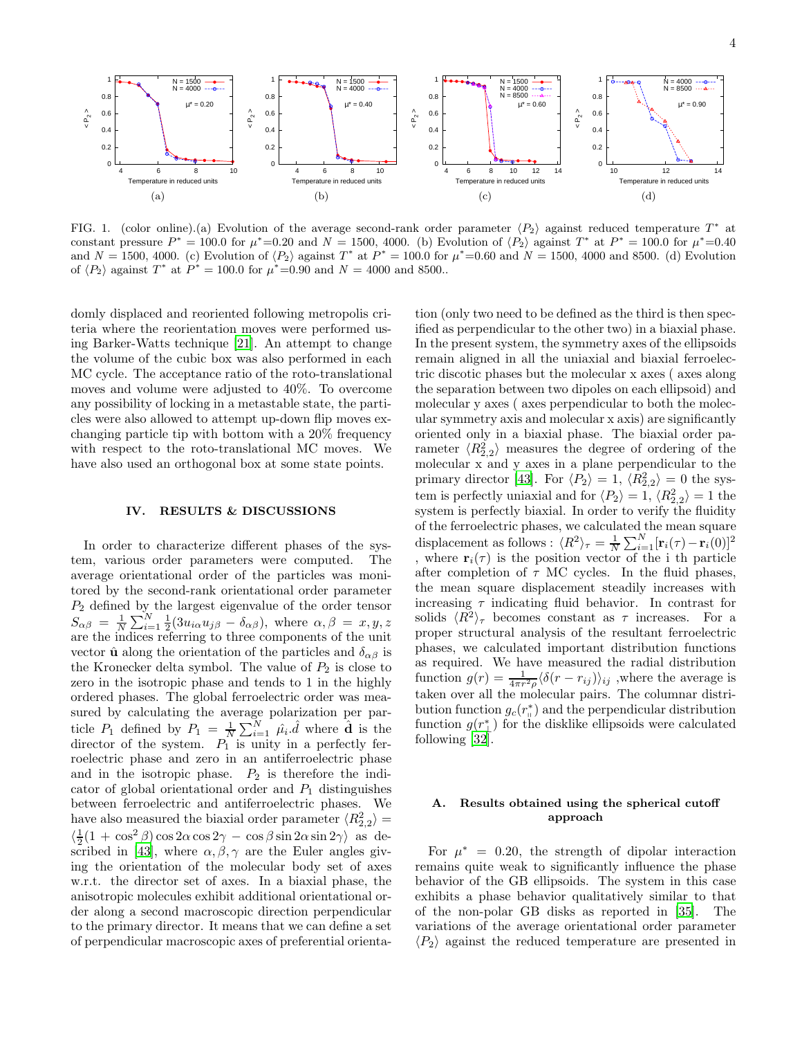<span id="page-3-1"></span>

<span id="page-3-2"></span>FIG. 1. (color online).(a) Evolution of the average second-rank order parameter  $\langle P_2 \rangle$  against reduced temperature  $T^*$  at constant pressure  $P^* = 100.0$  for  $\mu^* = 0.20$  and  $N = 1500$ , 4000. (b) Evolution of  $\langle P_2 \rangle$  against  $T^*$  at  $P^* = 100.0$  for  $\mu^* = 0.40$ and  $N = 1500, 4000$ . (c) Evolution of  $\langle P_2 \rangle$  against  $T^*$  at  $P^* = 100.0$  for  $\mu^* = 0.60$  and  $N = 1500, 4000$  and 8500. (d) Evolution of  $\langle P_2 \rangle$  against  $T^*$  at  $P^* = 100.0$  for  $\mu^* = 0.90$  and  $N = 4000$  and 8500..

domly displaced and reoriented following metropolis criteria where the reorientation moves were performed using Barker-Watts technique [\[21](#page-12-11)]. An attempt to change the volume of the cubic box was also performed in each MC cycle. The acceptance ratio of the roto-translational moves and volume were adjusted to 40%. To overcome any possibility of locking in a metastable state, the particles were also allowed to attempt up-down flip moves exchanging particle tip with bottom with a 20% frequency with respect to the roto-translational MC moves. We have also used an orthogonal box at some state points.

#### <span id="page-3-0"></span>IV. RESULTS & DISCUSSIONS

In order to characterize different phases of the system, various order parameters were computed. The average orientational order of the particles was monitored by the second-rank orientational order parameter  $P_2$  defined by the largest eigenvalue of the order tensor  $S_{\alpha\beta} = \frac{1}{N}$  $\frac{1}{N}\sum_{i=1}^{N}\frac{1}{2}(3u_{i\alpha}u_{j\beta}-\delta_{\alpha\beta})$ , where  $\alpha, \beta = x, y, z$ are the indices referring to three components of the unit vector  $\hat{\mathbf{u}}$  along the orientation of the particles and  $\delta_{\alpha\beta}$  is the Kronecker delta symbol. The value of  $P_2$  is close to zero in the isotropic phase and tends to 1 in the highly ordered phases. The global ferroelectric order was measured by calculating the average polarization per particle  $P_1$  defined by  $P_1 = \frac{1}{N}$  $\frac{1}{N}\sum_{i=1}^{N} \hat{\mu}_i \hat{d}$  where  $\hat{d}$  is the director of the system.  $P_1$  is unity in a perfectly ferroelectric phase and zero in an antiferroelectric phase and in the isotropic phase.  $P_2$  is therefore the indicator of global orientational order and  $P_1$  distinguishes between ferroelectric and antiferroelectric phases. We have also measured the biaxial order parameter  $\langle R_{2,2}^2 \rangle =$  $\langle \frac{1}{2}(1 + \cos^2 \beta) \cos 2\alpha \cos 2\gamma - \cos \beta \sin 2\alpha \sin 2\gamma \rangle$  as de-scribed in [\[43\]](#page-12-28), where  $\alpha, \beta, \gamma$  are the Euler angles giving the orientation of the molecular body set of axes w.r.t. the director set of axes. In a biaxial phase, the anisotropic molecules exhibit additional orientational order along a second macroscopic direction perpendicular to the primary director. It means that we can define a set of perpendicular macroscopic axes of preferential orienta-

<span id="page-3-4"></span><span id="page-3-3"></span>tion (only two need to be defined as the third is then specified as perpendicular to the other two) in a biaxial phase. In the present system, the symmetry axes of the ellipsoids remain aligned in all the uniaxial and biaxial ferroelectric discotic phases but the molecular x axes ( axes along the separation between two dipoles on each ellipsoid) and molecular y axes ( axes perpendicular to both the molecular symmetry axis and molecular x axis) are significantly oriented only in a biaxial phase. The biaxial order parameter  $\langle R_{2,2}^2 \rangle$  measures the degree of ordering of the molecular x and y axes in a plane perpendicular to the primary director [\[43](#page-12-28)]. For  $\langle P_2 \rangle = 1, \langle R_{2,2}^2 \rangle = 0$  the system is perfectly uniaxial and for  $\langle P_2 \rangle = 1, \langle R_{2,2}^2 \rangle = 1$  the system is perfectly biaxial. In order to verify the fluidity of the ferroelectric phases, we calculated the mean square displacement as follows :  $\langle R^2 \rangle \tau = \frac{1}{N} \sum_{i=1}^{N} [\mathbf{r}_i(\tau) - \mathbf{r}_i(0)]^2$ , where  $\mathbf{r}_i(\tau)$  is the position vector of the i th particle after completion of  $\tau$  MC cycles. In the fluid phases, the mean square displacement steadily increases with increasing  $\tau$  indicating fluid behavior. In contrast for solids  $\langle R^2 \rangle_{\tau}$  becomes constant as  $\tau$  increases. For a proper structural analysis of the resultant ferroelectric phases, we calculated important distribution functions as required. We have measured the radial distribution function  $g(r) = \frac{1}{4\pi r^2 \rho} \langle \delta(r - r_{ij}) \rangle_{ij}$ , where the average is taken over all the molecular pairs. The columnar distribution function  $g_c(r_\shortparallel^*)$  and the perpendicular distribution function  $g(r^*_{\perp})$  for the disklike ellipsoids were calculated following [\[32\]](#page-12-18).

# A. Results obtained using the spherical cutoff approach

For  $\mu^* = 0.20$ , the strength of dipolar interaction remains quite weak to significantly influence the phase behavior of the GB ellipsoids. The system in this case exhibits a phase behavior qualitatively similar to that of the non-polar GB disks as reported in [\[35](#page-12-21)]. The variations of the average orientational order parameter  $\langle P_2 \rangle$  against the reduced temperature are presented in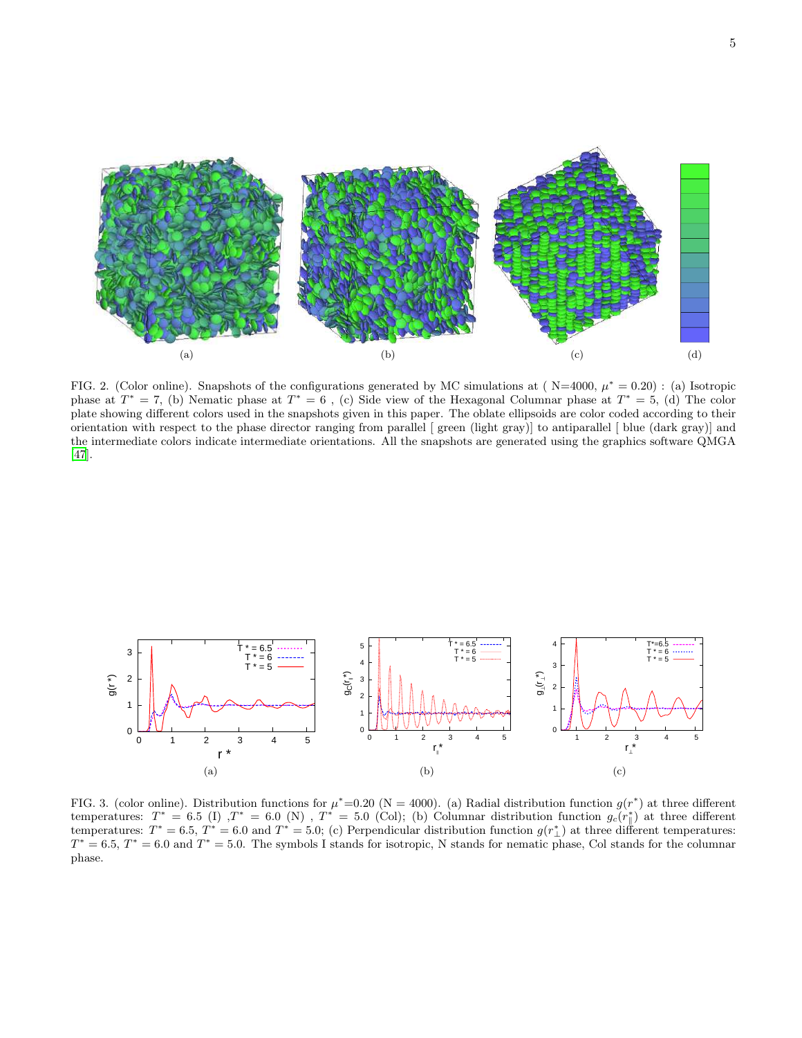



<span id="page-4-0"></span>FIG. 2. (Color online). Snapshots of the configurations generated by MC simulations at  $(N=4000, \mu^* = 0.20)$ : (a) Isotropic phase at  $T^* = 7$ , (b) Nematic phase at  $T^* = 6$ , (c) Side view of the Hexagonal Columnar phase at  $T^* = 5$ , (d) The color plate showing different colors used in the snapshots given in this paper. The oblate ellipsoids are color coded according to their orientation with respect to the phase director ranging from parallel [ green (light gray)] to antiparallel [ blue (dark gray)] and the intermediate colors indicate intermediate orientations. All the snapshots are generated using the graphics software QMGA [\[47\]](#page-12-29).

<span id="page-4-3"></span>

<span id="page-4-2"></span><span id="page-4-1"></span>FIG. 3. (color online). Distribution functions for  $\mu^* = 0.20$  (N = 4000). (a) Radial distribution function  $g(r^*)$  at three different temperatures:  $T^* = 6.5$  (I)  $T^* = 6.0$  (N),  $T^* = 5.0$  (Col); (b) Columnar distribution function  $g_c(r^*_{\parallel})$  at three different temperatures:  $T^* = 6.5, T^* = 6.0$  and  $T^* = 5.0$ ; (c) Perpendicular distribution function  $g(r^*_{\perp})$  at three different temperatures:  $T^* = 6.5, T^* = 6.0$  and  $T^* = 5.0$ . The symbols I stands for isotropic, N stands for nematic phase, Col stands for the columnar phase.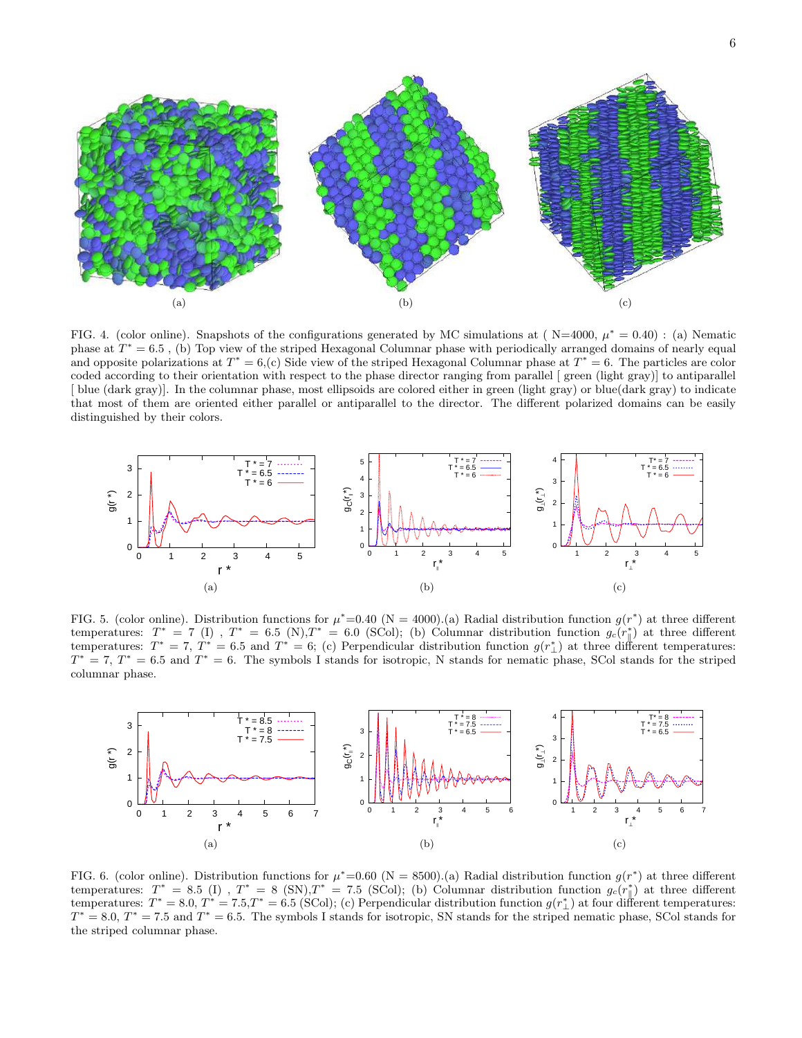

<span id="page-5-1"></span><span id="page-5-0"></span>FIG. 4. (color online). Snapshots of the configurations generated by MC simulations at  $(N=4000, \mu^* = 0.40)$ : (a) Nematic phase at  $T^* = 6.5$ , (b) Top view of the striped Hexagonal Columnar phase with periodically arranged domains of nearly equal and opposite polarizations at  $T^* = 6$ , (c) Side view of the striped Hexagonal Columnar phase at  $T^* = 6$ . The particles are color coded according to their orientation with respect to the phase director ranging from parallel [ green (light gray)] to antiparallel [ blue (dark gray)]. In the columnar phase, most ellipsoids are colored either in green (light gray) or blue(dark gray) to indicate that most of them are oriented either parallel or antiparallel to the director. The different polarized domains can be easily distinguished by their colors.

<span id="page-5-4"></span>

<span id="page-5-2"></span>FIG. 5. (color online). Distribution functions for  $\mu^* = 0.40$  (N = 4000).(a) Radial distribution function  $g(r^*)$  at three different temperatures:  $T^* = 7$  (I),  $T^* = 6.5$  (N),  $T^* = 6.0$  (SCol); (b) Columnar distribution function  $g_c(r^*_{\parallel})$  at three different temperatures:  $T^* = 7$ ,  $T^* = 6.5$  and  $T^* = 6$ ; (c) Perpendicular distribution function  $g(r^*_{\perp})$  at three different temperatures:  $T^* = 7$ ,  $T^* = 6.5$  and  $T^* = 6$ . The symbols I stands for isotropic, N stands for nematic phase, SCol stands for the striped columnar phase.

<span id="page-5-7"></span><span id="page-5-6"></span><span id="page-5-3"></span>

<span id="page-5-5"></span>FIG. 6. (color online). Distribution functions for  $\mu^* = 0.60$  (N = 8500).(a) Radial distribution function  $g(r^*)$  at three different temperatures:  $T^* = 8.5$  (I),  $T^* = 8$  (SN),  $T^* = 7.5$  (SCol); (b) Columnar distribution function  $g_c(r^*_{\parallel})$  at three different temperatures:  $T^* = 8.0, T^* = 7.5, T^* = 6.5$  (SCol); (c) Perpendicular distribution function  $g(r^*_{\perp})$  at four different temperatures:  $T^* = 8.0, T^* = 7.5$  and  $T^* = 6.5$ . The symbols I stands for isotropic, SN stands for the striped nematic phase, SCol stands for the striped columnar phase.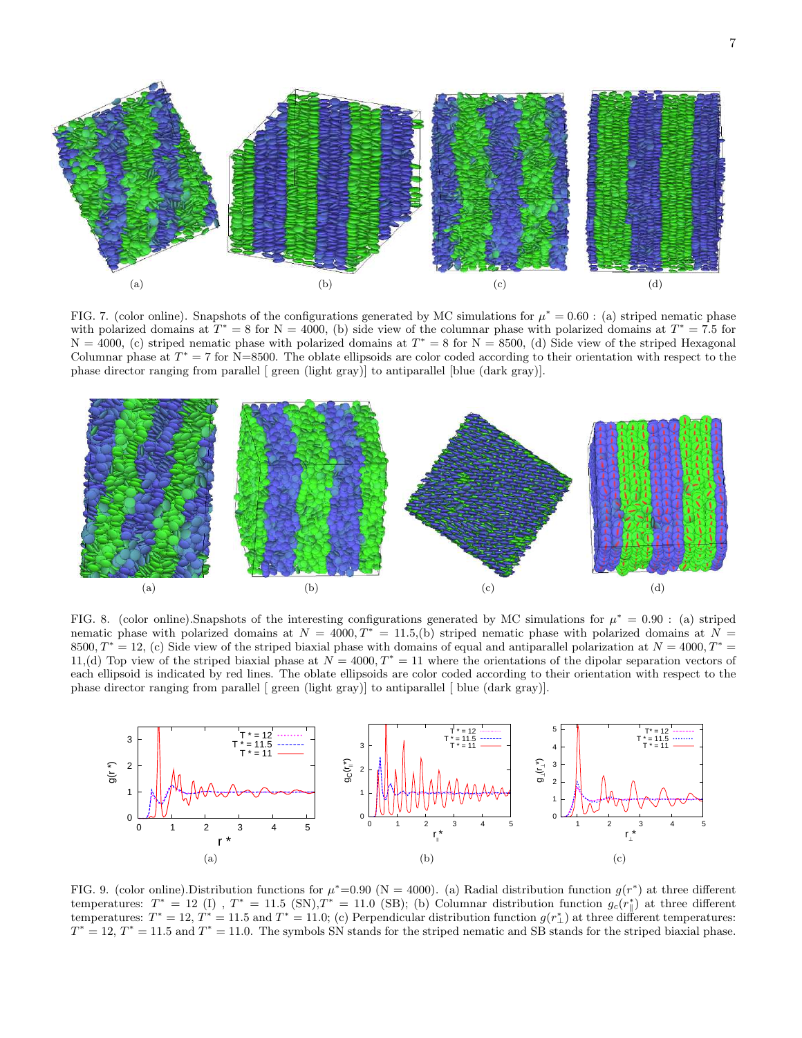

<span id="page-6-4"></span><span id="page-6-3"></span><span id="page-6-2"></span><span id="page-6-1"></span><span id="page-6-0"></span>FIG. 7. (color online). Snapshots of the configurations generated by MC simulations for  $\mu^* = 0.60$ : (a) striped nematic phase with polarized domains at  $T^* = 8$  for  $N = 4000$ , (b) side view of the columnar phase with polarized domains at  $T^* = 7.5$  for  $N = 4000$ , (c) striped nematic phase with polarized domains at  $T^* = 8$  for  $N = 8500$ , (d) Side view of the striped Hexagonal Columnar phase at  $T^* = 7$  for N=8500. The oblate ellipsoids are color coded according to their orientation with respect to the phase director ranging from parallel [ green (light gray)] to antiparallel [blue (dark gray)].

<span id="page-6-5"></span>

<span id="page-6-11"></span><span id="page-6-6"></span>FIG. 8. (color online). Snapshots of the interesting configurations generated by MC simulations for  $\mu^* = 0.90$ : (a) striped nematic phase with polarized domains at  $N = 4000, T^* = 11.5,$  (b) striped nematic phase with polarized domains at  $N =$ 8500,  $T^* = 12$ , (c) Side view of the striped biaxial phase with domains of equal and antiparallel polarization at  $N = 4000$ ,  $T^* =$ 11,(d) Top view of the striped biaxial phase at  $N = 4000$ ,  $T^* = 11$  where the orientations of the dipolar separation vectors of each ellipsoid is indicated by red lines. The oblate ellipsoids are color coded according to their orientation with respect to the phase director ranging from parallel [ green (light gray)] to antiparallel [ blue (dark gray)].

<span id="page-6-10"></span><span id="page-6-9"></span><span id="page-6-7"></span>

<span id="page-6-8"></span>FIG. 9. (color online). Distribution functions for  $\mu^* = 0.90$  (N = 4000). (a) Radial distribution function  $g(r^*)$  at three different temperatures:  $T^* = 12$  (I),  $T^* = 11.5$  (SN),  $T^* = 11.0$  (SB); (b) Columnar distribution function  $g_c(r^*_{\parallel})$  at three different temperatures:  $T^* = 12$ ,  $T^* = 11.5$  and  $T^* = 11.0$ ; (c) Perpendicular distribution function  $g(r^*_{\perp})$  at three different temperatures:  $T^* = 12$ ,  $T^* = 11.5$  and  $T^* = 11.0$ . The symbols SN stands for the striped nematic and SB stands for the striped biaxial phase.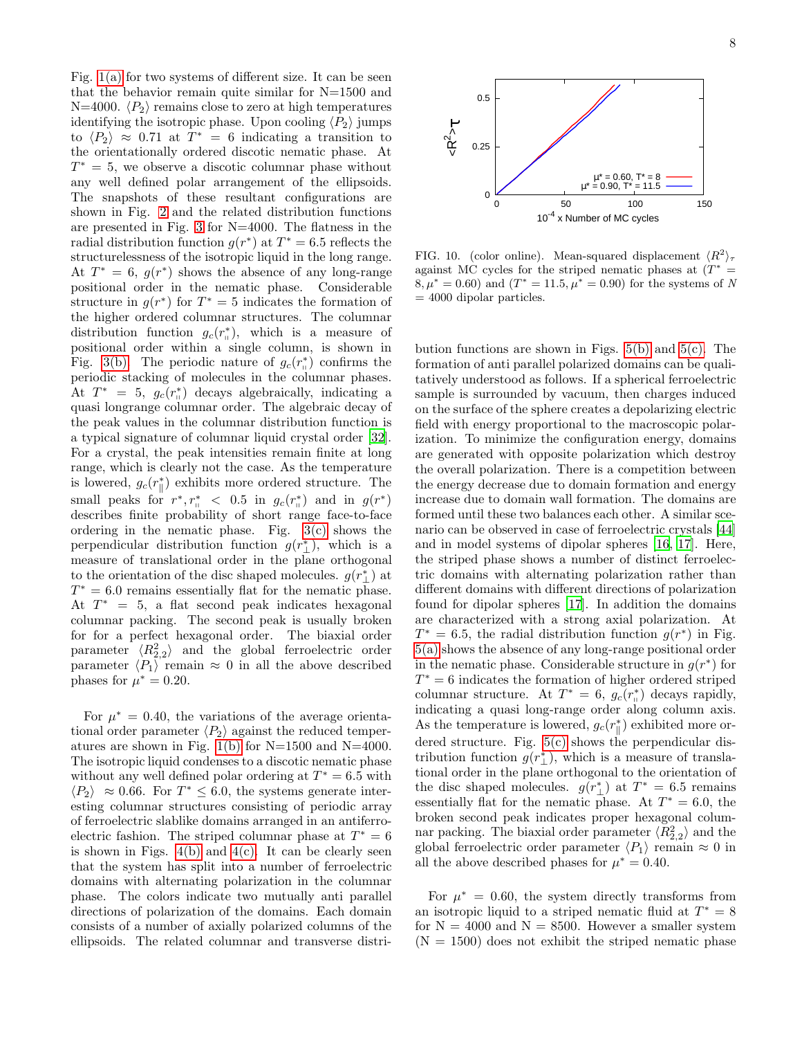Fig.  $1(a)$  for two systems of different size. It can be seen that the behavior remain quite similar for N=1500 and N=4000.  $\langle P_2 \rangle$  remains close to zero at high temperatures identifying the isotropic phase. Upon cooling  $\langle P_2 \rangle$  jumps to  $\langle P_2 \rangle \approx 0.71$  at  $T^* = 6$  indicating a transition to the orientationally ordered discotic nematic phase. At  $T^* = 5$ , we observe a discotic columnar phase without any well defined polar arrangement of the ellipsoids. The snapshots of these resultant configurations are shown in Fig. [2](#page-4-0) and the related distribution functions are presented in Fig. [3](#page-4-1) for N=4000. The flatness in the radial distribution function  $g(r^*)$  at  $T^* = 6.5$  reflects the structurelessness of the isotropic liquid in the long range. At  $T^* = 6$ ,  $g(r^*)$  shows the absence of any long-range positional order in the nematic phase. Considerable structure in  $g(r^*)$  for  $T^* = 5$  indicates the formation of the higher ordered columnar structures. The columnar distribution function  $g_c(r_{\shortparallel}^*)$ , which is a measure of positional order within a single column, is shown in Fig. [3\(b\).](#page-4-2) The periodic nature of  $g_c(r_{\scriptscriptstyle \parallel}^*)$  confirms the periodic stacking of molecules in the columnar phases. At  $T^* = 5$ ,  $g_c(r_{\shortparallel}^*)$  decays algebraically, indicating a quasi longrange columnar order. The algebraic decay of the peak values in the columnar distribution function is a typical signature of columnar liquid crystal order [\[32\]](#page-12-18). For a crystal, the peak intensities remain finite at long range, which is clearly not the case. As the temperature is lowered,  $g_c(r_{\parallel}^*)$  exhibits more ordered structure. The small peaks for  $r^*, r^*_{\shortparallel} < 0.5$  in  $g_c(r^*_{\shortparallel})$  and in  $g(r^*)$ describes finite probability of short range face-to-face ordering in the nematic phase. Fig.  $3(c)$  shows the perpendicular distribution function  $g(r^*_{\perp})$ , which is a measure of translational order in the plane orthogonal to the orientation of the disc shaped molecules.  $g(r^*_{\perp})$  at  $T^* = 6.0$  remains essentially flat for the nematic phase. At  $T^* = 5$ , a flat second peak indicates hexagonal columnar packing. The second peak is usually broken for for a perfect hexagonal order. The biaxial order parameter  $\langle R_{2,2}^2 \rangle$  and the global ferroelectric order parameter  $\langle P_1 \rangle$  remain  $\approx 0$  in all the above described phases for  $\mu^* = 0.20$ .

For  $\mu^* = 0.40$ , the variations of the average orientational order parameter  $\langle P_2 \rangle$  against the reduced temper-atures are shown in Fig. [1\(b\)](#page-3-2) for  $N=1500$  and  $N=4000$ . The isotropic liquid condenses to a discotic nematic phase without any well defined polar ordering at  $T^* = 6.5$  with  $\langle P_2 \rangle \approx 0.66$ . For  $T^* \leq 6.0$ , the systems generate interesting columnar structures consisting of periodic array of ferroelectric slablike domains arranged in an antiferroelectric fashion. The striped columnar phase at  $T^* = 6$ is shown in Figs.  $4(b)$  and  $4(c)$ . It can be clearly seen that the system has split into a number of ferroelectric domains with alternating polarization in the columnar phase. The colors indicate two mutually anti parallel directions of polarization of the domains. Each domain consists of a number of axially polarized columns of the ellipsoids. The related columnar and transverse distri-



<span id="page-7-0"></span>FIG. 10. (color online). Mean-squared displacement  $\langle R^2 \rangle_{\tau}$ against MC cycles for the striped nematic phases at  $(T^*)$  $8, \mu^* = 0.60$  and  $(T^* = 11.5, \mu^* = 0.90)$  for the systems of N  $= 4000$  dipolar particles.

bution functions are shown in Figs.  $5(b)$  and  $5(c)$ . The formation of anti parallel polarized domains can be qualitatively understood as follows. If a spherical ferroelectric sample is surrounded by vacuum, then charges induced on the surface of the sphere creates a depolarizing electric field with energy proportional to the macroscopic polarization. To minimize the configuration energy, domains are generated with opposite polarization which destroy the overall polarization. There is a competition between the energy decrease due to domain formation and energy increase due to domain wall formation. The domains are formed until these two balances each other. A similar scenario can be observed in case of ferroelectric crystals [\[44](#page-12-30)] and in model systems of dipolar spheres [\[16](#page-12-4), [17\]](#page-12-8). Here, the striped phase shows a number of distinct ferroelectric domains with alternating polarization rather than different domains with different directions of polarization found for dipolar spheres [\[17](#page-12-8)]. In addition the domains are characterized with a strong axial polarization. At  $T^* = 6.5$ , the radial distribution function  $g(r^*)$  in Fig. [5\(a\)](#page-5-4) shows the absence of any long-range positional order in the nematic phase. Considerable structure in  $g(r^*)$  for  $T^* = 6$  indicates the formation of higher ordered striped columnar structure. At  $T^* = 6$ ,  $g_c(r_{\shortparallel}^*)$  decays rapidly, indicating a quasi long-range order along column axis. As the temperature is lowered,  $g_c(r^*_{\parallel})$  exhibited more ordered structure. Fig.  $5(c)$  shows the perpendicular distribution function  $g(r_{\perp}^*)$ , which is a measure of translational order in the plane orthogonal to the orientation of the disc shaped molecules.  $g(r^*_{\perp})$  at  $T^* = 6.5$  remains essentially flat for the nematic phase. At  $T^* = 6.0$ , the broken second peak indicates proper hexagonal columnar packing. The biaxial order parameter  $\langle R_{2,2}^2 \rangle$  and the global ferroelectric order parameter  $\langle P_1 \rangle$  remain  $\approx 0$  in all the above described phases for  $\mu^* = 0.40$ .

For  $\mu^* = 0.60$ , the system directly transforms from an isotropic liquid to a striped nematic fluid at  $T^* = 8$ for  $N = 4000$  and  $N = 8500$ . However a smaller system  $(N = 1500)$  does not exhibit the striped nematic phase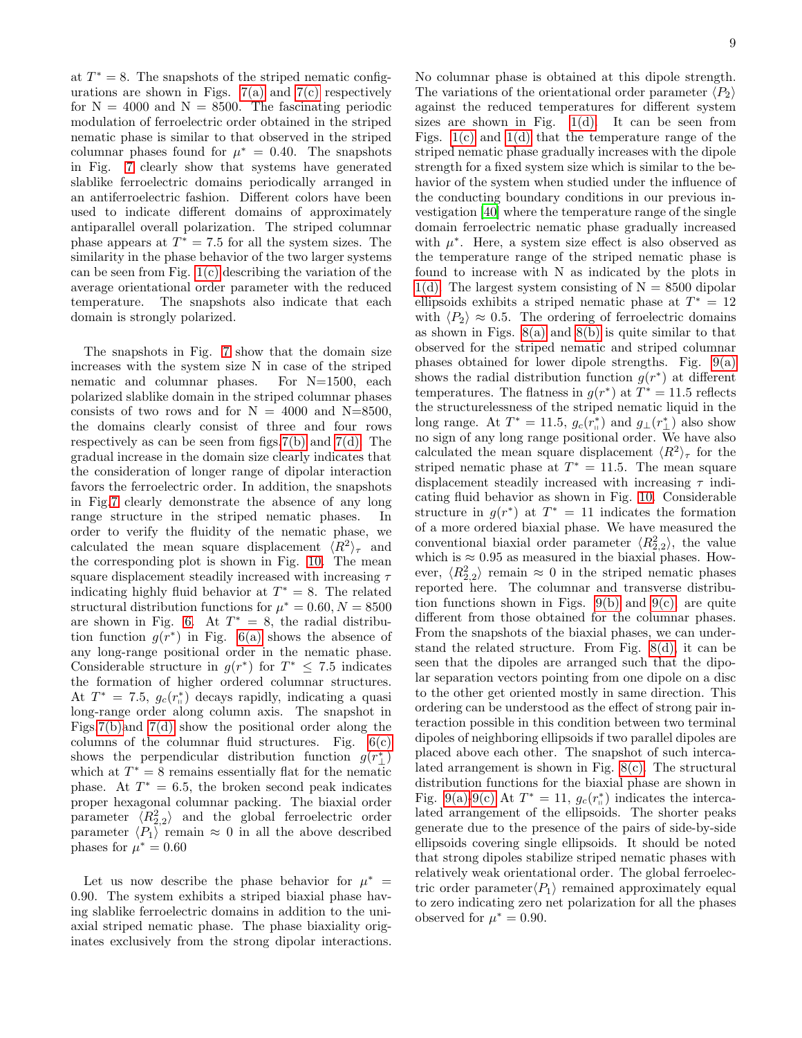at  $T^* = 8$ . The snapshots of the striped nematic configurations are shown in Figs.  $7(a)$  and  $7(c)$  respectively for  $N = 4000$  and  $N = 8500$ . The fascinating periodic modulation of ferroelectric order obtained in the striped nematic phase is similar to that observed in the striped columnar phases found for  $\mu^* = 0.40$ . The snapshots in Fig. [7](#page-6-2) clearly show that systems have generated slablike ferroelectric domains periodically arranged in an antiferroelectric fashion. Different colors have been used to indicate different domains of approximately antiparallel overall polarization. The striped columnar phase appears at  $T^* = 7.5$  for all the system sizes. The similarity in the phase behavior of the two larger systems can be seen from Fig. [1\(c\)](#page-3-3) describing the variation of the average orientational order parameter with the reduced temperature. The snapshots also indicate that each domain is strongly polarized.

The snapshots in Fig. [7](#page-6-2) show that the domain size increases with the system size N in case of the striped nematic and columnar phases. For N=1500, each polarized slablike domain in the striped columnar phases consists of two rows and for  $N = 4000$  and  $N=8500$ , the domains clearly consist of three and four rows respectively as can be seen from figs[.7\(b\)](#page-6-3) and [7\(d\).](#page-6-4) The gradual increase in the domain size clearly indicates that the consideration of longer range of dipolar interaction favors the ferroelectric order. In addition, the snapshots in Fig[.7](#page-6-2) clearly demonstrate the absence of any long range structure in the striped nematic phases. In order to verify the fluidity of the nematic phase, we calculated the mean square displacement  $\langle R^2 \rangle_{\tau}$  and the corresponding plot is shown in Fig. [10.](#page-7-0) The mean square displacement steadily increased with increasing  $\tau$ indicating highly fluid behavior at  $T^* = 8$ . The related structural distribution functions for  $\mu^* = 0.60, N = 8500$ are shown in Fig. [6.](#page-5-5) At  $T^* = 8$ , the radial distribution function  $g(r^*)$  in Fig. [6\(a\)](#page-5-6) shows the absence of any long-range positional order in the nematic phase. Considerable structure in  $g(r^*)$  for  $T^* \leq 7.5$  indicates the formation of higher ordered columnar structures. At  $T^* = 7.5$ ,  $g_c(r_{\shortparallel}^*)$  decays rapidly, indicating a quasi long-range order along column axis. The snapshot in Figs[.7\(b\)a](#page-6-3)nd [7\(d\)](#page-6-4) show the positional order along the columns of the columnar fluid structures. Fig.  $6(c)$ shows the perpendicular distribution function  $g(r^*_{\perp})$ which at  $T^* = 8$  remains essentially flat for the nematic phase. At  $T^* = 6.5$ , the broken second peak indicates proper hexagonal columnar packing. The biaxial order parameter  $\langle R_{2,2}^2 \rangle$  and the global ferroelectric order parameter  $\langle P_1 \rangle$  remain  $\approx 0$  in all the above described phases for  $\mu^* = 0.60$ 

Let us now describe the phase behavior for  $\mu^* =$ 0.90. The system exhibits a striped biaxial phase having slablike ferroelectric domains in addition to the uniaxial striped nematic phase. The phase biaxiality originates exclusively from the strong dipolar interactions. No columnar phase is obtained at this dipole strength. The variations of the orientational order parameter  $\langle P_2 \rangle$ against the reduced temperatures for different system sizes are shown in Fig.  $1(d)$ . It can be seen from Figs.  $1(c)$  and  $1(d)$  that the temperature range of the striped nematic phase gradually increases with the dipole strength for a fixed system size which is similar to the behavior of the system when studied under the influence of the conducting boundary conditions in our previous investigation [\[40](#page-12-25)] where the temperature range of the single domain ferroelectric nematic phase gradually increased with  $\mu^*$ . Here, a system size effect is also observed as the temperature range of the striped nematic phase is found to increase with N as indicated by the plots in [1\(d\).](#page-3-4) The largest system consisting of  $N = 8500$  dipolar ellipsoids exhibits a striped nematic phase at  $T^* = 12$ with  $\langle P_2 \rangle \approx 0.5$ . The ordering of ferroelectric domains as shown in Figs.  $8(a)$  and  $8(b)$  is quite similar to that observed for the striped nematic and striped columnar phases obtained for lower dipole strengths. Fig. [9\(a\)](#page-6-7) shows the radial distribution function  $g(r^*)$  at different temperatures. The flatness in  $g(r^*)$  at  $T^* = 11.5$  reflects the structurelessness of the striped nematic liquid in the long range. At  $T^* = 11.5$ ,  $g_c(r_{\shortparallel}^*)$  and  $g_{\perp}(r_{\perp}^*)$  also show no sign of any long range positional order. We have also calculated the mean square displacement  $\langle R^2 \rangle_{\tau}$  for the striped nematic phase at  $T^* = 11.5$ . The mean square displacement steadily increased with increasing  $\tau$  indicating fluid behavior as shown in Fig. [10.](#page-7-0) Considerable structure in  $g(r^*)$  at  $T^* = 11$  indicates the formation of a more ordered biaxial phase. We have measured the conventional biaxial order parameter  $\langle R_{2,2}^2 \rangle$ , the value which is  $\approx 0.95$  as measured in the biaxial phases. However,  $\langle R_{2,2}^2 \rangle$  remain  $\approx 0$  in the striped nematic phases reported here. The columnar and transverse distribu-tion functions shown in Figs. [9\(b\)](#page-6-8) and [9\(c\),](#page-6-9) are quite different from those obtained for the columnar phases. From the snapshots of the biaxial phases, we can understand the related structure. From Fig. [8\(d\),](#page-6-10) it can be seen that the dipoles are arranged such that the dipolar separation vectors pointing from one dipole on a disc to the other get oriented mostly in same direction. This ordering can be understood as the effect of strong pair interaction possible in this condition between two terminal dipoles of neighboring ellipsoids if two parallel dipoles are placed above each other. The snapshot of such intercalated arrangement is shown in Fig. [8\(c\).](#page-6-11) The structural distribution functions for the biaxial phase are shown in Fig. [9\(a\)](#page-6-7)[-9\(c\)](#page-6-9) At  $T^* = 11$ ,  $g_c(r_{\shortparallel}^*)$  indicates the intercalated arrangement of the ellipsoids. The shorter peaks generate due to the presence of the pairs of side-by-side ellipsoids covering single ellipsoids. It should be noted that strong dipoles stabilize striped nematic phases with relatively weak orientational order. The global ferroelectric order parameter $\langle P_1 \rangle$  remained approximately equal to zero indicating zero net polarization for all the phases observed for  $\mu^* = 0.90$ .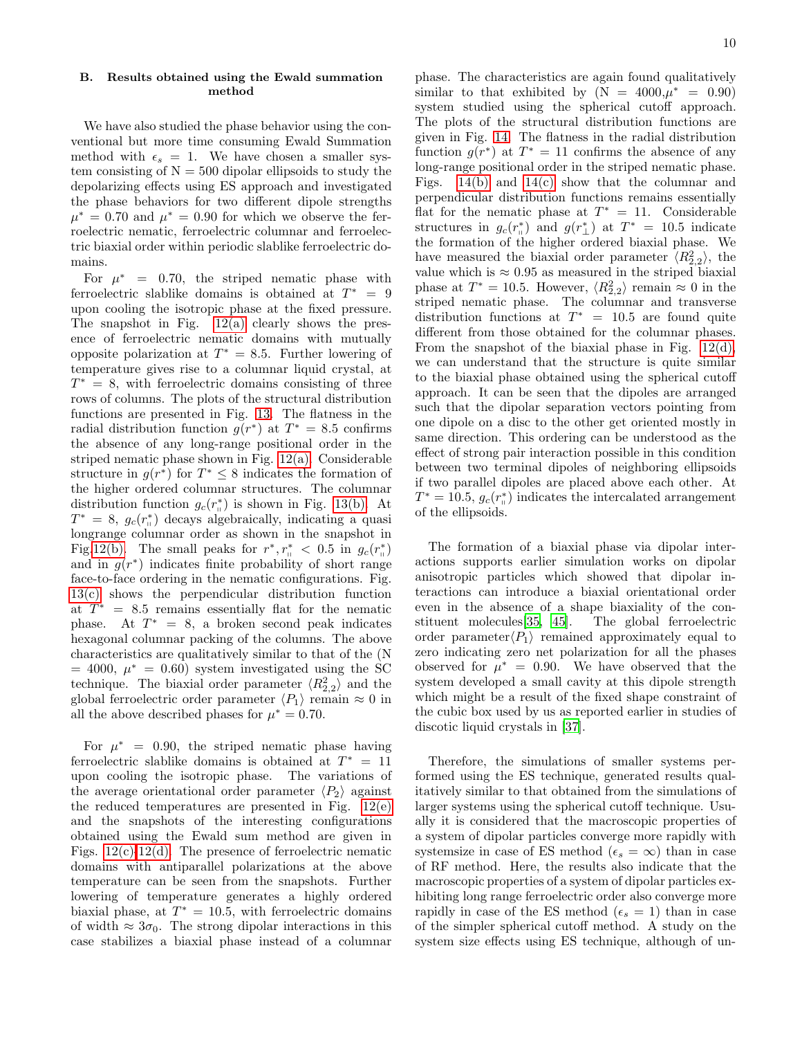## B. Results obtained using the Ewald summation method

We have also studied the phase behavior using the conventional but more time consuming Ewald Summation method with  $\epsilon_s = 1$ . We have chosen a smaller system consisting of  $N = 500$  dipolar ellipsoids to study the depolarizing effects using ES approach and investigated the phase behaviors for two different dipole strengths  $\mu^* = 0.70$  and  $\mu^* = 0.90$  for which we observe the ferroelectric nematic, ferroelectric columnar and ferroelectric biaxial order within periodic slablike ferroelectric domains.

For  $\mu^* = 0.70$ , the striped nematic phase with ferroelectric slablike domains is obtained at  $T^* = 9$ upon cooling the isotropic phase at the fixed pressure. The snapshot in Fig. [12\(a\)](#page-11-1) clearly shows the presence of ferroelectric nematic domains with mutually opposite polarization at  $T^* = 8.5$ . Further lowering of temperature gives rise to a columnar liquid crystal, at  $T^* = 8$ , with ferroelectric domains consisting of three rows of columns. The plots of the structural distribution functions are presented in Fig. [13.](#page-11-2) The flatness in the radial distribution function  $g(r^*)$  at  $T^* = 8.5$  confirms the absence of any long-range positional order in the striped nematic phase shown in Fig. [12\(a\).](#page-11-1) Considerable structure in  $g(r^*)$  for  $T^* \leq 8$  indicates the formation of the higher ordered columnar structures. The columnar distribution function  $g_c(r_\shortparallel^*)$  is shown in Fig. [13\(b\).](#page-11-3) At  $T^* = 8$ ,  $g_c(r_{\shortparallel}^*)$  decays algebraically, indicating a quasi longrange columnar order as shown in the snapshot in Fig[.12\(b\).](#page-11-4) The small peaks for  $r^*, r^*_{\shortparallel} < 0.5$  in  $g_c(r^*_{\shortparallel})$ and in  $g(r^*)$  indicates finite probability of short range face-to-face ordering in the nematic configurations. Fig. [13\(c\)](#page-11-5) shows the perpendicular distribution function at  $T^* = 8.5$  remains essentially flat for the nematic phase. At  $T^* = 8$ , a broken second peak indicates hexagonal columnar packing of the columns. The above characteristics are qualitatively similar to that of the (N  $= 4000, \mu^* = 0.60$  system investigated using the SC technique. The biaxial order parameter  $\langle R_{2,2}^2 \rangle$  and the global ferroelectric order parameter  $\langle P_1 \rangle$  remain  $\approx 0$  in all the above described phases for  $\mu^* = 0.70$ .

For  $\mu^* = 0.90$ , the striped nematic phase having ferroelectric slablike domains is obtained at  $T^* = 11$ upon cooling the isotropic phase. The variations of the average orientational order parameter  $\langle P_2 \rangle$  against the reduced temperatures are presented in Fig.  $12(e)$ and the snapshots of the interesting configurations obtained using the Ewald sum method are given in Figs.  $12(c)$ [-12\(d\).](#page-11-8) The presence of ferroelectric nematic domains with antiparallel polarizations at the above temperature can be seen from the snapshots. Further lowering of temperature generates a highly ordered biaxial phase, at  $T^* = 10.5$ , with ferroelectric domains of width  $\approx 3\sigma_0$ . The strong dipolar interactions in this case stabilizes a biaxial phase instead of a columnar

phase. The characteristics are again found qualitatively similar to that exhibited by  $(N = 4000,\mu^* = 0.90)$ system studied using the spherical cutoff approach. The plots of the structural distribution functions are given in Fig. [14.](#page-11-9) The flatness in the radial distribution function  $g(r^*)$  at  $T^* = 11$  confirms the absence of any long-range positional order in the striped nematic phase. Figs. [14\(b\)](#page-11-10) and [14\(c\)](#page-11-11) show that the columnar and perpendicular distribution functions remains essentially flat for the nematic phase at  $T^* = 11$ . Considerable structures in  $g_c(r_{\perp}^*)$  and  $g(r_{\perp}^*)$  at  $T^* = 10.5$  indicate the formation of the higher ordered biaxial phase. We have measured the biaxial order parameter  $\langle R_{2,2}^2 \rangle$ , the value which is  $\approx 0.95$  as measured in the striped biaxial phase at  $T^* = 10.5$ . However,  $\langle R_{2,2}^2 \rangle$  remain  $\approx 0$  in the striped nematic phase. The columnar and transverse distribution functions at  $T^* = 10.5$  are found quite different from those obtained for the columnar phases. From the snapshot of the biaxial phase in Fig. [12\(d\),](#page-11-8) we can understand that the structure is quite similar to the biaxial phase obtained using the spherical cutoff approach. It can be seen that the dipoles are arranged such that the dipolar separation vectors pointing from one dipole on a disc to the other get oriented mostly in same direction. This ordering can be understood as the effect of strong pair interaction possible in this condition between two terminal dipoles of neighboring ellipsoids if two parallel dipoles are placed above each other. At  $T^* = 10.5, g_c(r_{\parallel}^*)$  indicates the intercalated arrangement of the ellipsoids.

The formation of a biaxial phase via dipolar interactions supports earlier simulation works on dipolar anisotropic particles which showed that dipolar interactions can introduce a biaxial orientational order even in the absence of a shape biaxiality of the constituent molecules[\[35,](#page-12-21) [45\]](#page-12-31). The global ferroelectric order parameter $\langle P_1 \rangle$  remained approximately equal to zero indicating zero net polarization for all the phases observed for  $\mu^* = 0.90$ . We have observed that the system developed a small cavity at this dipole strength which might be a result of the fixed shape constraint of the cubic box used by us as reported earlier in studies of discotic liquid crystals in [\[37\]](#page-12-22).

Therefore, the simulations of smaller systems performed using the ES technique, generated results qualitatively similar to that obtained from the simulations of larger systems using the spherical cutoff technique. Usually it is considered that the macroscopic properties of a system of dipolar particles converge more rapidly with systemsize in case of ES method ( $\epsilon_s = \infty$ ) than in case of RF method. Here, the results also indicate that the macroscopic properties of a system of dipolar particles exhibiting long range ferroelectric order also converge more rapidly in case of the ES method ( $\epsilon_s = 1$ ) than in case of the simpler spherical cutoff method. A study on the system size effects using ES technique, although of un-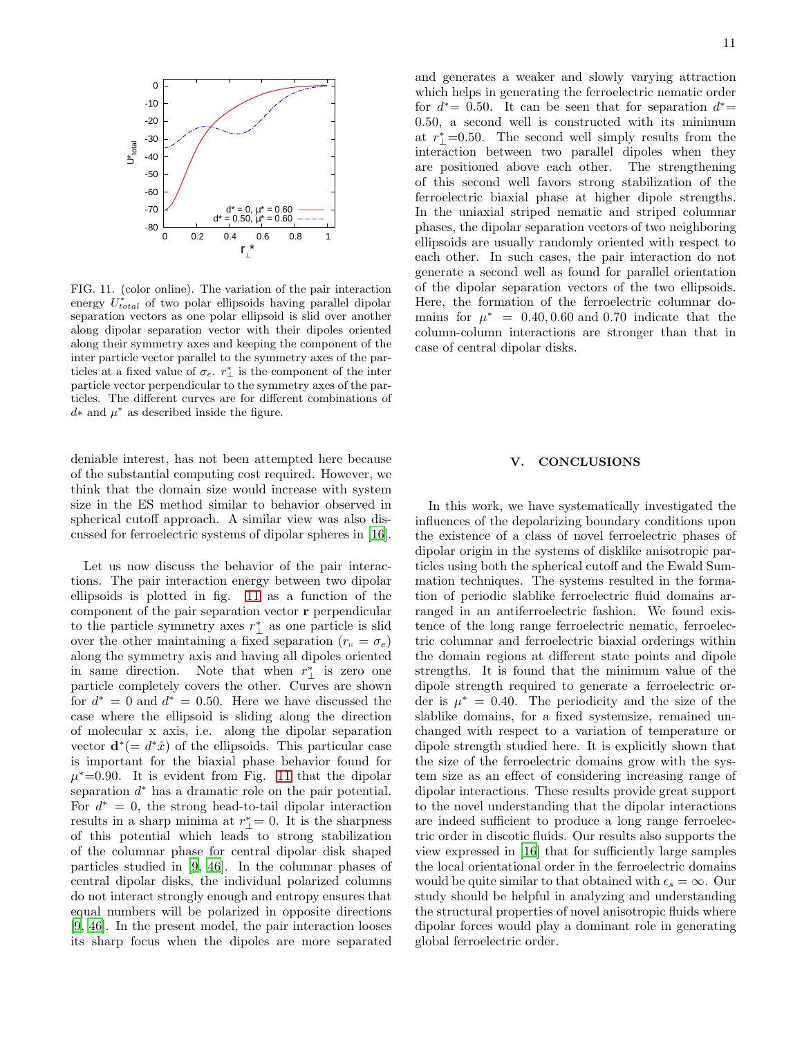

<span id="page-10-1"></span>FIG. 11. (color online). The variation of the pair interaction energy  $U_{total}^*$  of two polar ellipsoids having parallel dipolar separation vectors as one polar ellipsoid is slid over another along dipolar separation vector with their dipoles oriented along their symmetry axes and keeping the component of the inter particle vector parallel to the symmetry axes of the particles at a fixed value of  $\sigma_e$ .  $r^*_{\perp}$  is the component of the inter particle vector perpendicular to the symmetry axes of the particles. The different curves are for different combinations of  $d*$  and  $\mu^*$  as described inside the figure.

deniable interest, has not been attempted here because of the substantial computing cost required. However, we think that the domain size would increase with system size in the ES method similar to behavior observed in spherical cutoff approach. A similar view was also discussed for ferroelectric systems of dipolar spheres in [\[16\]](#page-12-4).

Let us now discuss the behavior of the pair interactions. The pair interaction energy between two dipolar ellipsoids is plotted in fig. [11](#page-10-1) as a function of the component of the pair separation vector r perpendicular to the particle symmetry axes  $r^*_{\perp}$  as one particle is slid over the other maintaining a fixed separation  $(r_{\shortparallel} = \sigma_e)$ along the symmetry axis and having all dipoles oriented in same direction. Note that when  $r^*_{\perp}$  is zero one particle completely covers the other. Curves are shown for  $d^* = 0$  and  $d^* = 0.50$ . Here we have discussed the case where the ellipsoid is sliding along the direction of molecular x axis, i.e. along the dipolar separation vector  $\mathbf{d}^* (= d^* \hat{x})$  of the ellipsoids. This particular case is important for the biaxial phase behavior found for  $\mu^*$ =0.90. It is evident from Fig. [11](#page-10-1) that the dipolar separation  $d^*$  has a dramatic role on the pair potential. For  $d^* = 0$ , the strong head-to-tail dipolar interaction results in a sharp minima at  $r^*_{\perp} = 0$ . It is the sharpness of this potential which leads to strong stabilization of the columnar phase for central dipolar disk shaped particles studied in [\[9](#page-12-6), [46\]](#page-12-32). In the columnar phases of central dipolar disks, the individual polarized columns do not interact strongly enough and entropy ensures that equal numbers will be polarized in opposite directions [\[9,](#page-12-6) [46\]](#page-12-32). In the present model, the pair interaction looses its sharp focus when the dipoles are more separated and generates a weaker and slowly varying attraction which helps in generating the ferroelectric nematic order for  $d^* = 0.50$ . It can be seen that for separation  $d^* =$ 0.50, a second well is constructed with its minimum at  $r^*_{\perp}$ =0.50. The second well simply results from the interaction between two parallel dipoles when they are positioned above each other. The strengthening of this second well favors strong stabilization of the ferroelectric biaxial phase at higher dipole strengths. In the uniaxial striped nematic and striped columnar phases, the dipolar separation vectors of two neighboring ellipsoids are usually randomly oriented with respect to each other. In such cases, the pair interaction do not generate a second well as found for parallel orientation of the dipolar separation vectors of the two ellipsoids. Here, the formation of the ferroelectric columnar domains for  $\mu^* = 0.40, 0.60$  and 0.70 indicate that the column-column interactions are stronger than that in case of central dipolar disks.

## <span id="page-10-0"></span>V. CONCLUSIONS

In this work, we have systematically investigated the influences of the depolarizing boundary conditions upon the existence of a class of novel ferroelectric phases of dipolar origin in the systems of disklike anisotropic particles using both the spherical cutoff and the Ewald Summation techniques. The systems resulted in the formation of periodic slablike ferroelectric fluid domains arranged in an antiferroelectric fashion. We found existence of the long range ferroelectric nematic, ferroelectric columnar and ferroelectric biaxial orderings within the domain regions at different state points and dipole strengths. It is found that the minimum value of the dipole strength required to generate a ferroelectric order is  $\mu^* = 0.40$ . The periodicity and the size of the slablike domains, for a fixed systemsize, remained unchanged with respect to a variation of temperature or dipole strength studied here. It is explicitly shown that the size of the ferroelectric domains grow with the system size as an effect of considering increasing range of dipolar interactions. These results provide great support to the novel understanding that the dipolar interactions are indeed sufficient to produce a long range ferroelectric order in discotic fluids. Our results also supports the view expressed in [\[16\]](#page-12-4) that for sufficiently large samples the local orientational order in the ferroelectric domains would be quite similar to that obtained with  $\epsilon_s = \infty$ . Our study should be helpful in analyzing and understanding the structural properties of novel anisotropic fluids where dipolar forces would play a dominant role in generating global ferroelectric order.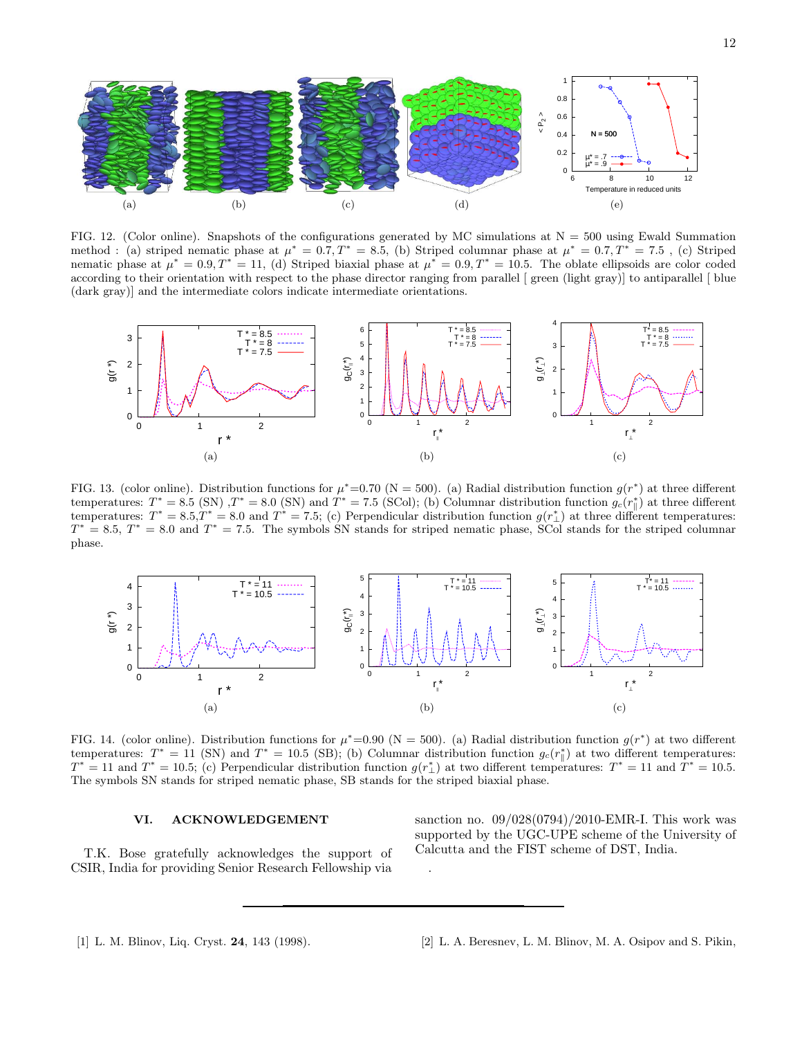<span id="page-11-8"></span><span id="page-11-6"></span> $\Omega$ 

6 8 10 12

<span id="page-11-5"></span>(e)

perature in reduced units



<span id="page-11-7"></span><span id="page-11-4"></span><span id="page-11-1"></span>(a)  $(b)$   $(c)$   $(d)$ 



<span id="page-11-3"></span><span id="page-11-2"></span>FIG. 13. (color online). Distribution functions for  $\mu^*=0.70$  (N = 500). (a) Radial distribution function  $g(r^*)$  at three different temperatures:  $T^* = 8.5$  (SN)  $T^* = 8.0$  (SN) and  $T^* = 7.5$  (SCol); (b) Columnar distribution function  $g_c(r^*_{\parallel})$  at three different temperatures:  $T^* = 8.5 \cdot T^* = 8.0$  and  $T^* = 7.5$ ; (c) Perpendicular distribution function  $g(r^*_{\perp})$  at three different temperatures:  $T^* = 8.5, T^* = 8.0$  and  $T^* = 7.5$ . The symbols SN stands for striped nematic phase, SCol stands for the striped columnar phase.



<span id="page-11-9"></span>FIG. 14. (color online). Distribution functions for  $\mu^* = 0.90$  (N = 500). (a) Radial distribution function  $g(r^*)$  at two different temperatures:  $T^* = 11$  (SN) and  $T^* = 10.5$  (SB); (b) Columnar distribution function  $g_c(r^*_{\parallel})$  at two different temperatures:  $T^* = 11$  and  $T^* = 10.5$ ; (c) Perpendicular distribution function  $g(r^*_{\perp})$  at two different temperatures:  $T^* = 11$  and  $T^* = 10.5$ . The symbols SN stands for striped nematic phase, SB stands for the striped biaxial phase.

.

# VI. ACKNOWLEDGEMENT

T.K. Bose gratefully acknowledges the support of CSIR, India for providing Senior Research Fellowship via

<span id="page-11-11"></span><span id="page-11-10"></span>sanction no. 09/028(0794)/2010-EMR-I. This work was supported by the UGC-UPE scheme of the University of Calcutta and the FIST scheme of DST, India.

<span id="page-11-0"></span><sup>[1]</sup> L. M. Blinov, Liq. Cryst. 24, 143 (1998). [2] L. A. Beresnev, L. M. Blinov, M. A. Osipov and S. Pikin,